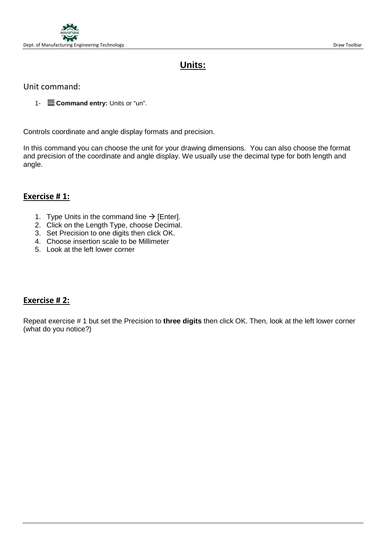

# **Units:**

## Unit command:

1- **Command entry:** Units or "un".

Controls coordinate and angle display formats and precision.

In this command you can choose the unit for your drawing dimensions. You can also choose the format and precision of the coordinate and angle display. We usually use the decimal type for both length and angle.

## **Exercise # 1:**

- 1. Type Units in the command line  $\rightarrow$  [Enter].
- 2. Click on the Length Type, choose Decimal.
- 3. Set Precision to one digits then click OK.
- 4. Choose insertion scale to be Millimeter
- 5. Look at the left lower corner

# **Exercise # 2:**

Repeat exercise # 1 but set the Precision to **three digits** then click OK. Then, look at the left lower corner (what do you notice?)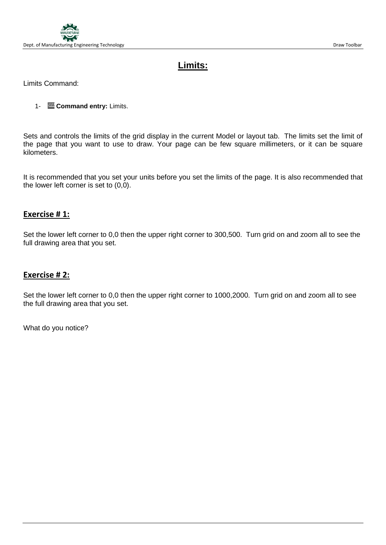

# **Limits:**

Limits Command:

1- **Command entry:** Limits.

Sets and controls the limits of the grid display in the current Model or layout tab. The limits set the limit of the page that you want to use to draw. Your page can be few square millimeters, or it can be square kilometers.

It is recommended that you set your units before you set the limits of the page. It is also recommended that the lower left corner is set to (0,0).

#### **Exercise # 1:**

Set the lower left corner to 0,0 then the upper right corner to 300,500. Turn grid on and zoom all to see the full drawing area that you set.

#### **Exercise # 2:**

Set the lower left corner to 0,0 then the upper right corner to 1000,2000. Turn grid on and zoom all to see the full drawing area that you set.

What do you notice?